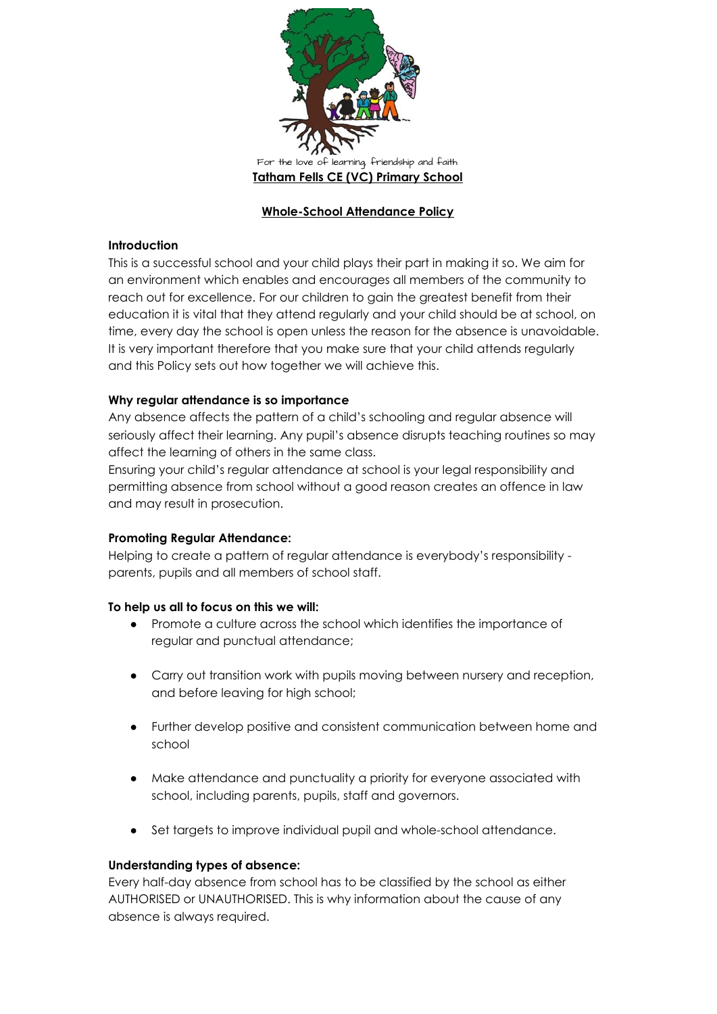

# **Whole-School Attendance Policy**

### **Introduction**

This is a successful school and your child plays their part in making it so. We aim for an environment which enables and encourages all members of the community to reach out for excellence. For our children to gain the greatest benefit from their education it is vital that they attend regularly and your child should be at school, on time, every day the school is open unless the reason for the absence is unavoidable. It is very important therefore that you make sure that your child attends regularly and this Policy sets out how together we will achieve this.

## **Why regular attendance is so importance**

Any absence affects the pattern of a child's schooling and regular absence will seriously affect their learning. Any pupil's absence disrupts teaching routines so may affect the learning of others in the same class.

Ensuring your child's regular attendance at school is your legal responsibility and permitting absence from school without a good reason creates an offence in law and may result in prosecution.

### **Promoting Regular Attendance:**

Helping to create a pattern of regular attendance is everybody's responsibility parents, pupils and all members of school staff.

### **To help us all to focus on this we will:**

- Promote a culture across the school which identifies the importance of regular and punctual attendance;
- Carry out transition work with pupils moving between nursery and reception, and before leaving for high school;
- Further develop positive and consistent communication between home and school
- Make attendance and punctuality a priority for everyone associated with school, including parents, pupils, staff and governors.
- Set targets to improve individual pupil and whole-school attendance.

### **Understanding types of absence:**

Every half-day absence from school has to be classified by the school as either AUTHORISED or UNAUTHORISED. This is why information about the cause of any absence is always required.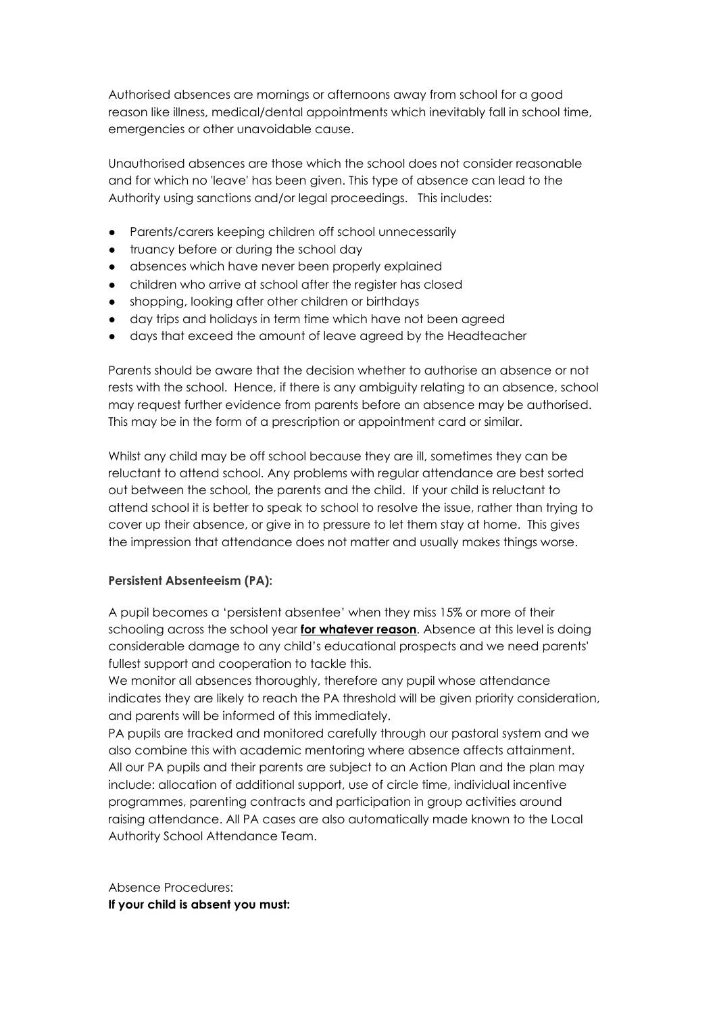Authorised absences are mornings or afternoons away from school for a good reason like illness, medical/dental appointments which inevitably fall in school time, emergencies or other unavoidable cause.

Unauthorised absences are those which the school does not consider reasonable and for which no 'leave' has been given. This type of absence can lead to the Authority using sanctions and/or legal proceedings. This includes:

- Parents/carers keeping children off school unnecessarily
- truancy before or during the school day
- absences which have never been properly explained
- children who arrive at school after the register has closed
- shopping, looking after other children or birthdays
- day trips and holidays in term time which have not been agreed
- days that exceed the amount of leave agreed by the Headteacher

Parents should be aware that the decision whether to authorise an absence or not rests with the school. Hence, if there is any ambiguity relating to an absence, school may request further evidence from parents before an absence may be authorised. This may be in the form of a prescription or appointment card or similar.

Whilst any child may be off school because they are ill, sometimes they can be reluctant to attend school. Any problems with regular attendance are best sorted out between the school, the parents and the child. If your child is reluctant to attend school it is better to speak to school to resolve the issue, rather than trying to cover up their absence, or give in to pressure to let them stay at home. This gives the impression that attendance does not matter and usually makes things worse.

# **Persistent Absenteeism (PA):**

A pupil becomes a 'persistent absentee' when they miss 15% or more of their schooling across the school year **for whatever reason**. Absence at this level is doing considerable damage to any child's educational prospects and we need parents' fullest support and cooperation to tackle this.

We monitor all absences thoroughly, therefore any pupil whose attendance indicates they are likely to reach the PA threshold will be given priority consideration, and parents will be informed of this immediately.

PA pupils are tracked and monitored carefully through our pastoral system and we also combine this with academic mentoring where absence affects attainment. All our PA pupils and their parents are subject to an Action Plan and the plan may include: allocation of additional support, use of circle time, individual incentive programmes, parenting contracts and participation in group activities around raising attendance. All PA cases are also automatically made known to the Local Authority School Attendance Team.

Absence Procedures: **If your child is absent you must:**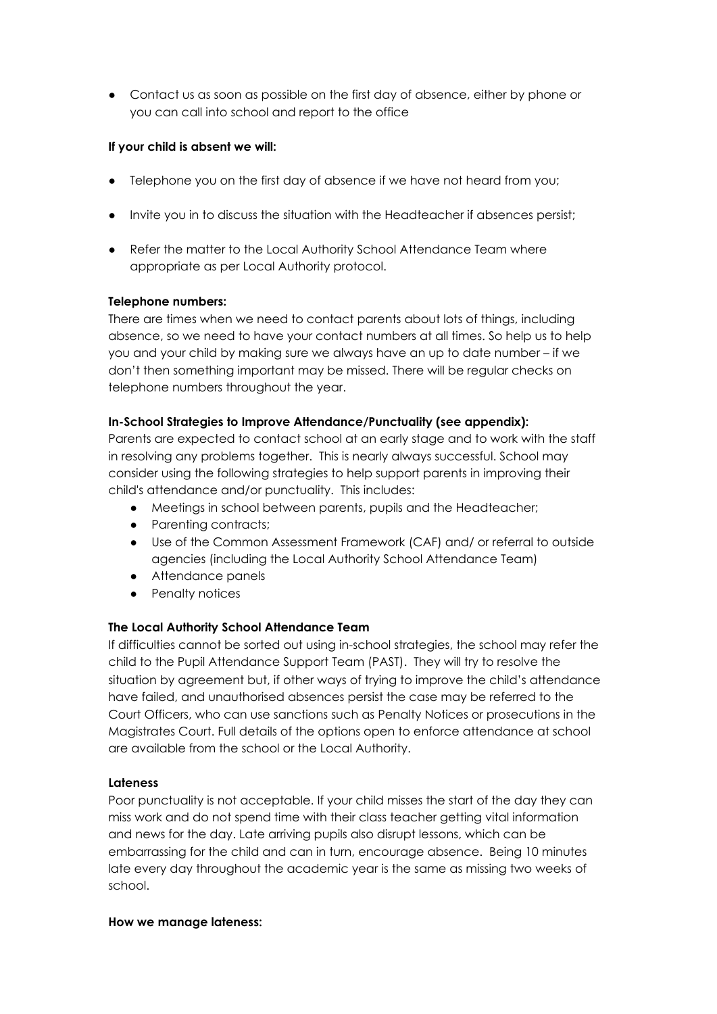● Contact us as soon as possible on the first day of absence, either by phone or you can call into school and report to the office

# **If your child is absent we will:**

- Telephone you on the first day of absence if we have not heard from you;
- Invite you in to discuss the situation with the Headteacher if absences persist;
- Refer the matter to the Local Authority School Attendance Team where appropriate as per Local Authority protocol.

# **Telephone numbers:**

There are times when we need to contact parents about lots of things, including absence, so we need to have your contact numbers at all times. So help us to help you and your child by making sure we always have an up to date number – if we don't then something important may be missed. There will be regular checks on telephone numbers throughout the year.

# **In-School Strategies to Improve Attendance/Punctuality (see appendix):**

Parents are expected to contact school at an early stage and to work with the staff in resolving any problems together. This is nearly always successful. School may consider using the following strategies to help support parents in improving their child's attendance and/or punctuality. This includes:

- Meetings in school between parents, pupils and the Headteacher;
- Parenting contracts;
- Use of the Common Assessment Framework (CAF) and/ or referral to outside agencies (including the Local Authority School Attendance Team)
- Attendance panels
- Penalty notices

# **The Local Authority School Attendance Team**

If difficulties cannot be sorted out using in-school strategies, the school may refer the child to the Pupil Attendance Support Team (PAST). They will try to resolve the situation by agreement but, if other ways of trying to improve the child's attendance have failed, and unauthorised absences persist the case may be referred to the Court Officers, who can use sanctions such as Penalty Notices or prosecutions in the Magistrates Court. Full details of the options open to enforce attendance at school are available from the school or the Local Authority.

# **Lateness**

Poor punctuality is not acceptable. If your child misses the start of the day they can miss work and do not spend time with their class teacher getting vital information and news for the day. Late arriving pupils also disrupt lessons, which can be embarrassing for the child and can in turn, encourage absence. Being 10 minutes late every day throughout the academic year is the same as missing two weeks of school.

### **How we manage lateness:**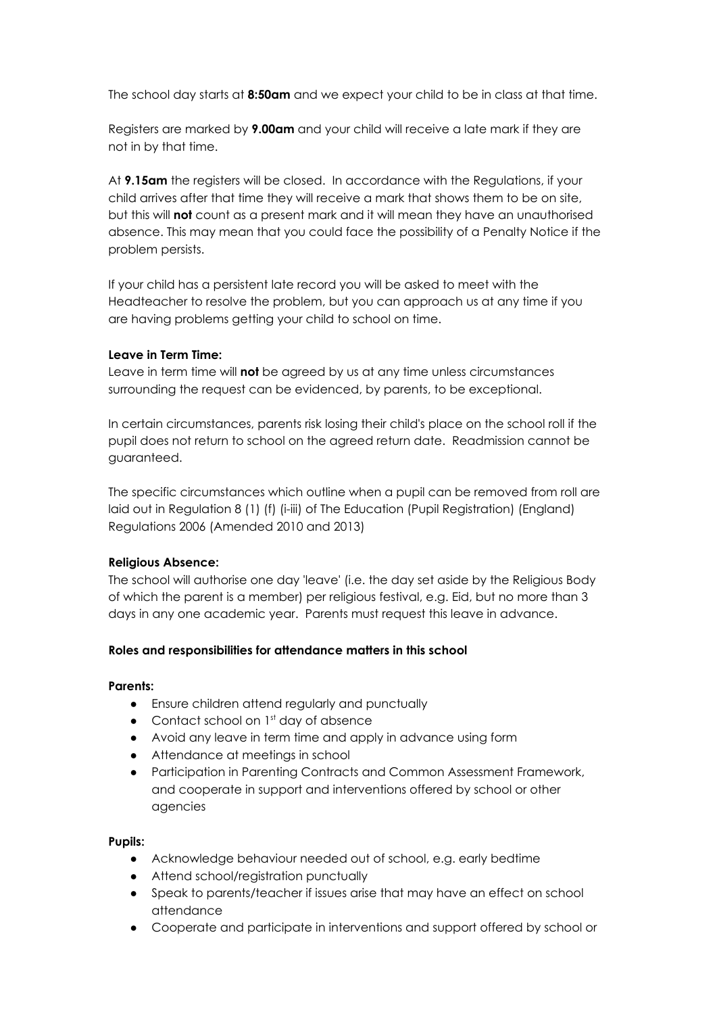The school day starts at **8:50am** and we expect your child to be in class at that time.

Registers are marked by **9.00am** and your child will receive a late mark if they are not in by that time.

At **9.15am** the registers will be closed. In accordance with the Regulations, if your child arrives after that time they will receive a mark that shows them to be on site, but this will **not** count as a present mark and it will mean they have an unauthorised absence. This may mean that you could face the possibility of a Penalty Notice if the problem persists.

If your child has a persistent late record you will be asked to meet with the Headteacher to resolve the problem, but you can approach us at any time if you are having problems getting your child to school on time.

## **Leave in Term Time:**

Leave in term time will **not** be agreed by us at any time unless circumstances surrounding the request can be evidenced, by parents, to be exceptional.

In certain circumstances, parents risk losing their child's place on the school roll if the pupil does not return to school on the agreed return date. Readmission cannot be guaranteed.

The specific circumstances which outline when a pupil can be removed from roll are laid out in Regulation 8 (1) (f) (i-iii) of The Education (Pupil Registration) (England) Regulations 2006 (Amended 2010 and 2013)

### **Religious Absence:**

The school will authorise one day 'leave' (i.e. the day set aside by the Religious Body of which the parent is a member) per religious festival, e.g. Eid, but no more than 3 days in any one academic year. Parents must request this leave in advance.

### **Roles and responsibilities for attendance matters in this school**

### **Parents:**

- Ensure children attend regularly and punctually
- Contact school on 1<sup>st</sup> day of absence
- Avoid any leave in term time and apply in advance using form
- Attendance at meetings in school
- Participation in Parenting Contracts and Common Assessment Framework, and cooperate in support and interventions offered by school or other agencies

### **Pupils:**

- Acknowledge behaviour needed out of school, e.g. early bedtime
- Attend school/registration punctually
- Speak to parents/teacher if issues arise that may have an effect on school attendance
- Cooperate and participate in interventions and support offered by school or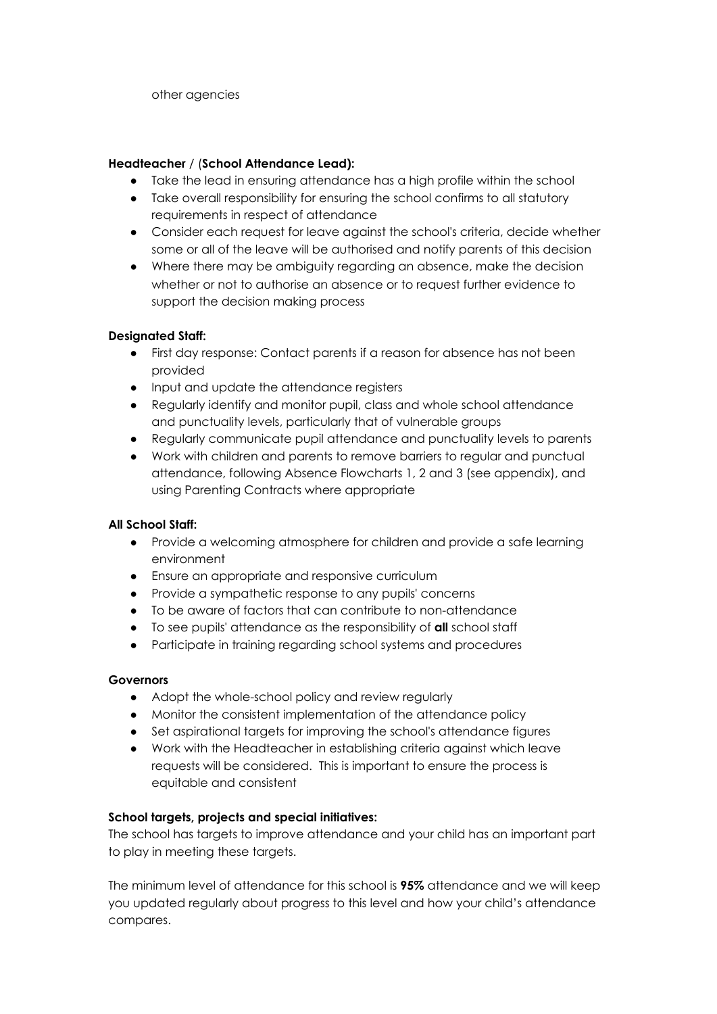other agencies

# **Headteacher** / (**School Attendance Lead):**

- Take the lead in ensuring attendance has a high profile within the school
- Take overall responsibility for ensuring the school confirms to all statutory requirements in respect of attendance
- Consider each request for leave against the school's criteria, decide whether some or all of the leave will be authorised and notify parents of this decision
- Where there may be ambiguity regarding an absence, make the decision whether or not to authorise an absence or to request further evidence to support the decision making process

## **Designated Staff:**

- First day response: Contact parents if a reason for absence has not been provided
- Input and update the attendance registers
- Regularly identify and monitor pupil, class and whole school attendance and punctuality levels, particularly that of vulnerable groups
- Regularly communicate pupil attendance and punctuality levels to parents
- Work with children and parents to remove barriers to regular and punctual attendance, following Absence Flowcharts 1, 2 and 3 (see appendix), and using Parenting Contracts where appropriate

# **All School Staff:**

- Provide a welcoming atmosphere for children and provide a safe learning environment
- Ensure an appropriate and responsive curriculum
- Provide a sympathetic response to any pupils' concerns
- To be aware of factors that can contribute to non-attendance
- To see pupils' attendance as the responsibility of **all** school staff
- Participate in training regarding school systems and procedures

### **Governors**

- Adopt the whole-school policy and review regularly
- Monitor the consistent implementation of the attendance policy
- Set aspirational targets for improving the school's attendance figures
- Work with the Headteacher in establishing criteria against which leave requests will be considered. This is important to ensure the process is equitable and consistent

### **School targets, projects and special initiatives:**

The school has targets to improve attendance and your child has an important part to play in meeting these targets.

The minimum level of attendance for this school is **95%** attendance and we will keep you updated regularly about progress to this level and how your child's attendance compares.